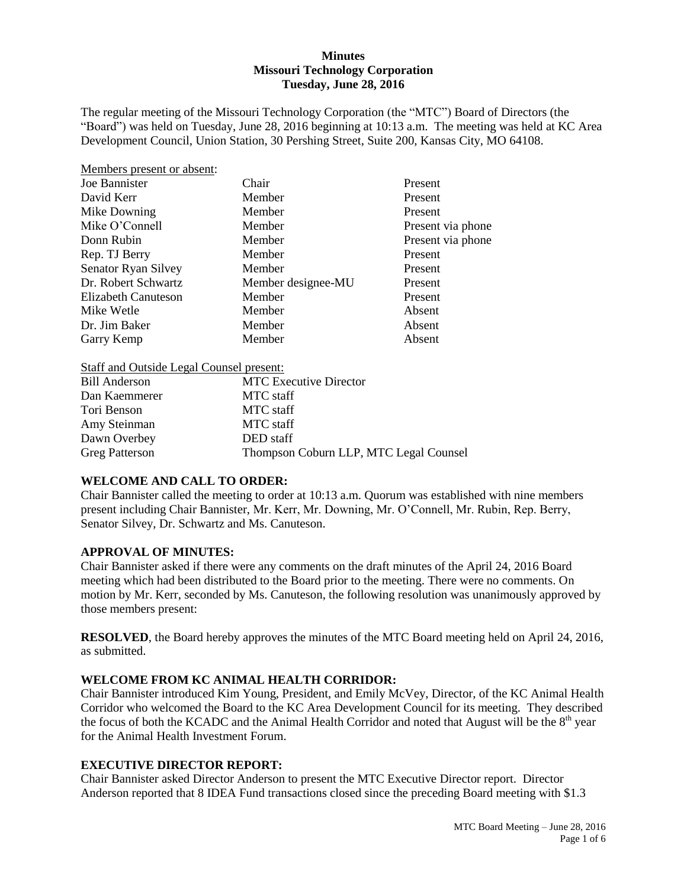#### **Minutes Missouri Technology Corporation Tuesday, June 28, 2016**

The regular meeting of the Missouri Technology Corporation (the "MTC") Board of Directors (the "Board") was held on Tuesday, June 28, 2016 beginning at 10:13 a.m. The meeting was held at KC Area Development Council, Union Station, 30 Pershing Street, Suite 200, Kansas City, MO 64108.

| Chair              | Present           |
|--------------------|-------------------|
| Member             | Present           |
| Member             | Present           |
| Member             | Present via phone |
| Member             | Present via phone |
| Member             | Present           |
| Member             | Present           |
| Member designee-MU | Present           |
| Member             | Present           |
| Member             | Absent            |
| Member             | Absent            |
| Member             | Absent            |
|                    |                   |

Staff and Outside Legal Counsel present:

| <b>MTC</b> Executive Director          |
|----------------------------------------|
| MTC staff                              |
| MTC staff                              |
| MTC staff                              |
| DED staff                              |
| Thompson Coburn LLP, MTC Legal Counsel |
|                                        |

# **WELCOME AND CALL TO ORDER:**

Chair Bannister called the meeting to order at 10:13 a.m. Quorum was established with nine members present including Chair Bannister, Mr. Kerr, Mr. Downing, Mr. O'Connell, Mr. Rubin, Rep. Berry, Senator Silvey, Dr. Schwartz and Ms. Canuteson.

#### **APPROVAL OF MINUTES:**

Chair Bannister asked if there were any comments on the draft minutes of the April 24, 2016 Board meeting which had been distributed to the Board prior to the meeting. There were no comments. On motion by Mr. Kerr, seconded by Ms. Canuteson, the following resolution was unanimously approved by those members present:

**RESOLVED**, the Board hereby approves the minutes of the MTC Board meeting held on April 24, 2016, as submitted.

#### **WELCOME FROM KC ANIMAL HEALTH CORRIDOR:**

Chair Bannister introduced Kim Young, President, and Emily McVey, Director, of the KC Animal Health Corridor who welcomed the Board to the KC Area Development Council for its meeting. They described the focus of both the KCADC and the Animal Health Corridor and noted that August will be the 8<sup>th</sup> year for the Animal Health Investment Forum.

#### **EXECUTIVE DIRECTOR REPORT:**

Chair Bannister asked Director Anderson to present the MTC Executive Director report. Director Anderson reported that 8 IDEA Fund transactions closed since the preceding Board meeting with \$1.3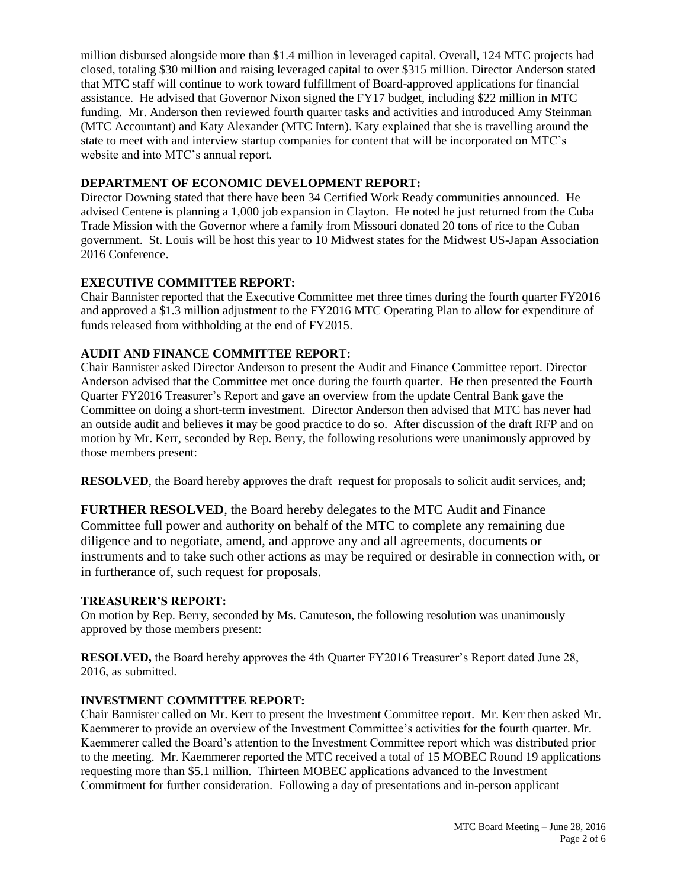million disbursed alongside more than \$1.4 million in leveraged capital. Overall, 124 MTC projects had closed, totaling \$30 million and raising leveraged capital to over \$315 million. Director Anderson stated that MTC staff will continue to work toward fulfillment of Board-approved applications for financial assistance. He advised that Governor Nixon signed the FY17 budget, including \$22 million in MTC funding. Mr. Anderson then reviewed fourth quarter tasks and activities and introduced Amy Steinman (MTC Accountant) and Katy Alexander (MTC Intern). Katy explained that she is travelling around the state to meet with and interview startup companies for content that will be incorporated on MTC's website and into MTC's annual report.

### **DEPARTMENT OF ECONOMIC DEVELOPMENT REPORT:**

Director Downing stated that there have been 34 Certified Work Ready communities announced. He advised Centene is planning a 1,000 job expansion in Clayton. He noted he just returned from the Cuba Trade Mission with the Governor where a family from Missouri donated 20 tons of rice to the Cuban government. St. Louis will be host this year to 10 Midwest states for the Midwest US-Japan Association 2016 Conference.

### **EXECUTIVE COMMITTEE REPORT:**

Chair Bannister reported that the Executive Committee met three times during the fourth quarter FY2016 and approved a \$1.3 million adjustment to the FY2016 MTC Operating Plan to allow for expenditure of funds released from withholding at the end of FY2015.

### **AUDIT AND FINANCE COMMITTEE REPORT:**

Chair Bannister asked Director Anderson to present the Audit and Finance Committee report. Director Anderson advised that the Committee met once during the fourth quarter. He then presented the Fourth Quarter FY2016 Treasurer's Report and gave an overview from the update Central Bank gave the Committee on doing a short-term investment. Director Anderson then advised that MTC has never had an outside audit and believes it may be good practice to do so. After discussion of the draft RFP and on motion by Mr. Kerr, seconded by Rep. Berry, the following resolutions were unanimously approved by those members present:

**RESOLVED**, the Board hereby approves the draft request for proposals to solicit audit services, and;

**FURTHER RESOLVED**, the Board hereby delegates to the MTC Audit and Finance Committee full power and authority on behalf of the MTC to complete any remaining due diligence and to negotiate, amend, and approve any and all agreements, documents or instruments and to take such other actions as may be required or desirable in connection with, or in furtherance of, such request for proposals.

#### **TREASURER'S REPORT:**

On motion by Rep. Berry, seconded by Ms. Canuteson, the following resolution was unanimously approved by those members present:

**RESOLVED,** the Board hereby approves the 4th Quarter FY2016 Treasurer's Report dated June 28, 2016, as submitted.

#### **INVESTMENT COMMITTEE REPORT:**

Chair Bannister called on Mr. Kerr to present the Investment Committee report. Mr. Kerr then asked Mr. Kaemmerer to provide an overview of the Investment Committee's activities for the fourth quarter. Mr. Kaemmerer called the Board's attention to the Investment Committee report which was distributed prior to the meeting. Mr. Kaemmerer reported the MTC received a total of 15 MOBEC Round 19 applications requesting more than \$5.1 million. Thirteen MOBEC applications advanced to the Investment Commitment for further consideration. Following a day of presentations and in-person applicant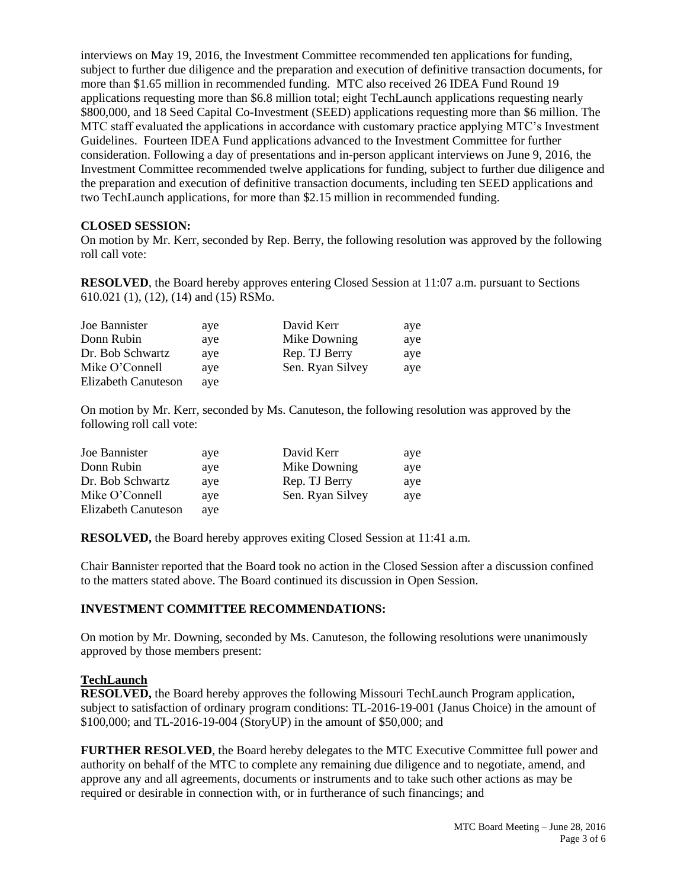interviews on May 19, 2016, the Investment Committee recommended ten applications for funding, subject to further due diligence and the preparation and execution of definitive transaction documents, for more than \$1.65 million in recommended funding. MTC also received 26 IDEA Fund Round 19 applications requesting more than \$6.8 million total; eight TechLaunch applications requesting nearly \$800,000, and 18 Seed Capital Co-Investment (SEED) applications requesting more than \$6 million. The MTC staff evaluated the applications in accordance with customary practice applying MTC's Investment Guidelines. Fourteen IDEA Fund applications advanced to the Investment Committee for further consideration. Following a day of presentations and in-person applicant interviews on June 9, 2016, the Investment Committee recommended twelve applications for funding, subject to further due diligence and the preparation and execution of definitive transaction documents, including ten SEED applications and two TechLaunch applications, for more than \$2.15 million in recommended funding.

#### **CLOSED SESSION:**

On motion by Mr. Kerr, seconded by Rep. Berry, the following resolution was approved by the following roll call vote:

**RESOLVED**, the Board hereby approves entering Closed Session at 11:07 a.m. pursuant to Sections 610.021 (1), (12), (14) and (15) RSMo.

| Joe Bannister       | aye | David Kerr       | aye |
|---------------------|-----|------------------|-----|
| Donn Rubin          | ave | Mike Downing     | aye |
| Dr. Bob Schwartz    | ave | Rep. TJ Berry    | aye |
| Mike O'Connell      | aye | Sen. Ryan Silvey | aye |
| Elizabeth Canuteson | aye |                  |     |

On motion by Mr. Kerr, seconded by Ms. Canuteson, the following resolution was approved by the following roll call vote:

| Joe Bannister       | aye | David Kerr       | aye |
|---------------------|-----|------------------|-----|
| Donn Rubin          | aye | Mike Downing     | aye |
| Dr. Bob Schwartz    | aye | Rep. TJ Berry    | aye |
| Mike O'Connell      | ave | Sen. Ryan Silvey | aye |
| Elizabeth Canuteson | aye |                  |     |

**RESOLVED,** the Board hereby approves exiting Closed Session at 11:41 a.m.

Chair Bannister reported that the Board took no action in the Closed Session after a discussion confined to the matters stated above. The Board continued its discussion in Open Session.

#### **INVESTMENT COMMITTEE RECOMMENDATIONS:**

On motion by Mr. Downing, seconded by Ms. Canuteson, the following resolutions were unanimously approved by those members present:

#### **TechLaunch**

**RESOLVED,** the Board hereby approves the following Missouri TechLaunch Program application, subject to satisfaction of ordinary program conditions: TL-2016-19-001 (Janus Choice) in the amount of \$100,000; and TL-2016-19-004 (StoryUP) in the amount of \$50,000; and

**FURTHER RESOLVED**, the Board hereby delegates to the MTC Executive Committee full power and authority on behalf of the MTC to complete any remaining due diligence and to negotiate, amend, and approve any and all agreements, documents or instruments and to take such other actions as may be required or desirable in connection with, or in furtherance of such financings; and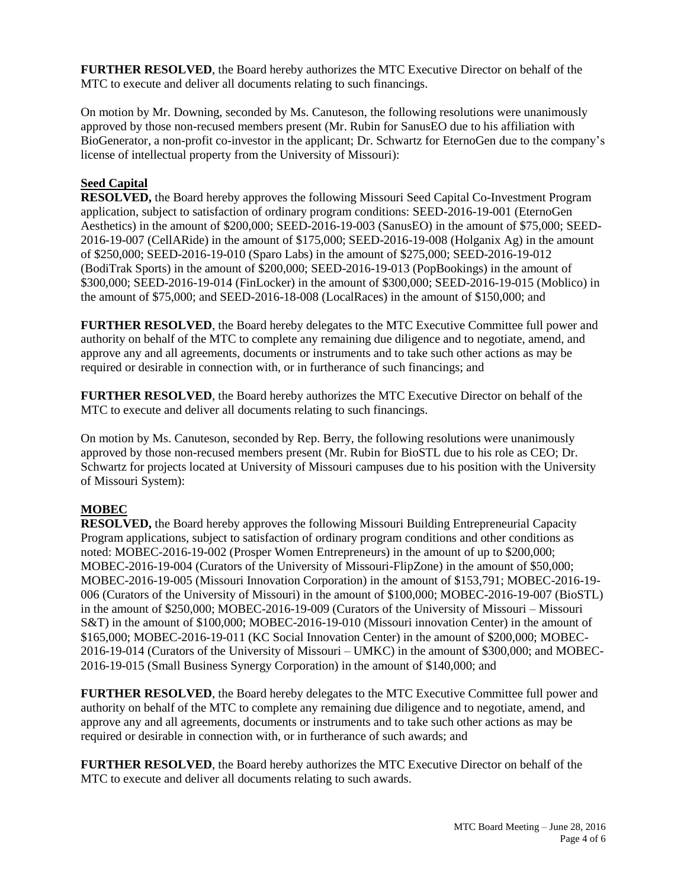**FURTHER RESOLVED**, the Board hereby authorizes the MTC Executive Director on behalf of the MTC to execute and deliver all documents relating to such financings.

On motion by Mr. Downing, seconded by Ms. Canuteson, the following resolutions were unanimously approved by those non-recused members present (Mr. Rubin for SanusEO due to his affiliation with BioGenerator, a non-profit co-investor in the applicant; Dr. Schwartz for EternoGen due to the company's license of intellectual property from the University of Missouri):

# **Seed Capital**

**RESOLVED,** the Board hereby approves the following Missouri Seed Capital Co-Investment Program application, subject to satisfaction of ordinary program conditions: SEED-2016-19-001 (EternoGen Aesthetics) in the amount of \$200,000; SEED-2016-19-003 (SanusEO) in the amount of \$75,000; SEED-2016-19-007 (CellARide) in the amount of \$175,000; SEED-2016-19-008 (Holganix Ag) in the amount of \$250,000; SEED-2016-19-010 (Sparo Labs) in the amount of \$275,000; SEED-2016-19-012 (BodiTrak Sports) in the amount of \$200,000; SEED-2016-19-013 (PopBookings) in the amount of \$300,000; SEED-2016-19-014 (FinLocker) in the amount of \$300,000; SEED-2016-19-015 (Moblico) in the amount of \$75,000; and SEED-2016-18-008 (LocalRaces) in the amount of \$150,000; and

**FURTHER RESOLVED, the Board hereby delegates to the MTC Executive Committee full power and** authority on behalf of the MTC to complete any remaining due diligence and to negotiate, amend, and approve any and all agreements, documents or instruments and to take such other actions as may be required or desirable in connection with, or in furtherance of such financings; and

**FURTHER RESOLVED**, the Board hereby authorizes the MTC Executive Director on behalf of the MTC to execute and deliver all documents relating to such financings.

On motion by Ms. Canuteson, seconded by Rep. Berry, the following resolutions were unanimously approved by those non-recused members present (Mr. Rubin for BioSTL due to his role as CEO; Dr. Schwartz for projects located at University of Missouri campuses due to his position with the University of Missouri System):

# **MOBEC**

**RESOLVED,** the Board hereby approves the following Missouri Building Entrepreneurial Capacity Program applications, subject to satisfaction of ordinary program conditions and other conditions as noted: MOBEC-2016-19-002 (Prosper Women Entrepreneurs) in the amount of up to \$200,000; MOBEC-2016-19-004 (Curators of the University of Missouri-FlipZone) in the amount of \$50,000; MOBEC-2016-19-005 (Missouri Innovation Corporation) in the amount of \$153,791; MOBEC-2016-19- 006 (Curators of the University of Missouri) in the amount of \$100,000; MOBEC-2016-19-007 (BioSTL) in the amount of \$250,000; MOBEC-2016-19-009 (Curators of the University of Missouri – Missouri S&T) in the amount of \$100,000; MOBEC-2016-19-010 (Missouri innovation Center) in the amount of \$165,000; MOBEC-2016-19-011 (KC Social Innovation Center) in the amount of \$200,000; MOBEC-2016-19-014 (Curators of the University of Missouri – UMKC) in the amount of \$300,000; and MOBEC-2016-19-015 (Small Business Synergy Corporation) in the amount of \$140,000; and

**FURTHER RESOLVED**, the Board hereby delegates to the MTC Executive Committee full power and authority on behalf of the MTC to complete any remaining due diligence and to negotiate, amend, and approve any and all agreements, documents or instruments and to take such other actions as may be required or desirable in connection with, or in furtherance of such awards; and

**FURTHER RESOLVED**, the Board hereby authorizes the MTC Executive Director on behalf of the MTC to execute and deliver all documents relating to such awards.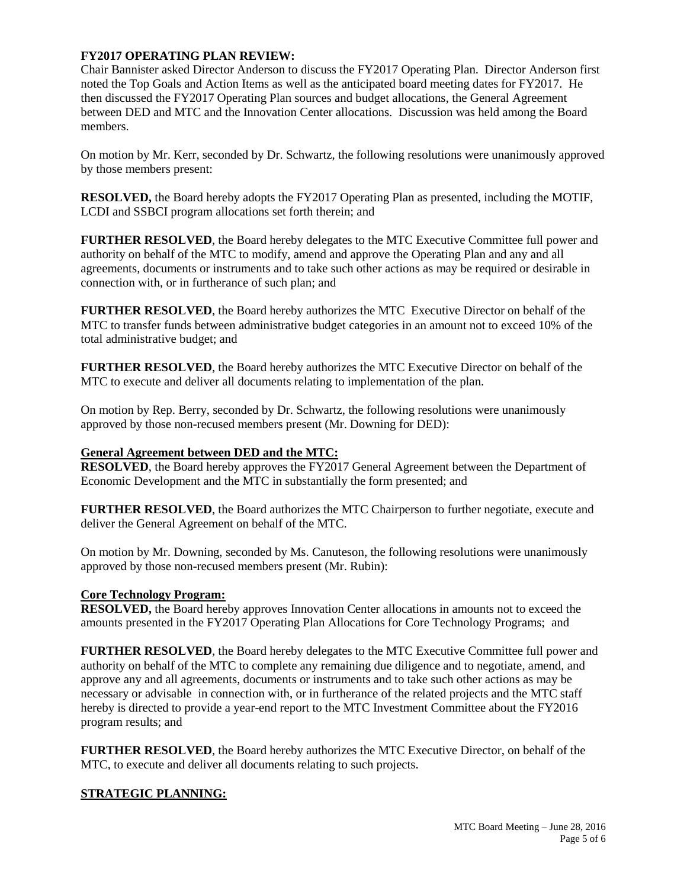## **FY2017 OPERATING PLAN REVIEW:**

Chair Bannister asked Director Anderson to discuss the FY2017 Operating Plan. Director Anderson first noted the Top Goals and Action Items as well as the anticipated board meeting dates for FY2017. He then discussed the FY2017 Operating Plan sources and budget allocations, the General Agreement between DED and MTC and the Innovation Center allocations. Discussion was held among the Board members.

On motion by Mr. Kerr, seconded by Dr. Schwartz, the following resolutions were unanimously approved by those members present:

**RESOLVED,** the Board hereby adopts the FY2017 Operating Plan as presented, including the MOTIF, LCDI and SSBCI program allocations set forth therein; and

**FURTHER RESOLVED**, the Board hereby delegates to the MTC Executive Committee full power and authority on behalf of the MTC to modify, amend and approve the Operating Plan and any and all agreements, documents or instruments and to take such other actions as may be required or desirable in connection with, or in furtherance of such plan; and

**FURTHER RESOLVED**, the Board hereby authorizes the MTC Executive Director on behalf of the MTC to transfer funds between administrative budget categories in an amount not to exceed 10% of the total administrative budget; and

**FURTHER RESOLVED**, the Board hereby authorizes the MTC Executive Director on behalf of the MTC to execute and deliver all documents relating to implementation of the plan.

On motion by Rep. Berry, seconded by Dr. Schwartz, the following resolutions were unanimously approved by those non-recused members present (Mr. Downing for DED):

#### **General Agreement between DED and the MTC:**

**RESOLVED**, the Board hereby approves the FY2017 General Agreement between the Department of Economic Development and the MTC in substantially the form presented; and

**FURTHER RESOLVED**, the Board authorizes the MTC Chairperson to further negotiate, execute and deliver the General Agreement on behalf of the MTC.

On motion by Mr. Downing, seconded by Ms. Canuteson, the following resolutions were unanimously approved by those non-recused members present (Mr. Rubin):

#### **Core Technology Program:**

**RESOLVED,** the Board hereby approves Innovation Center allocations in amounts not to exceed the amounts presented in the FY2017 Operating Plan Allocations for Core Technology Programs; and

**FURTHER RESOLVED**, the Board hereby delegates to the MTC Executive Committee full power and authority on behalf of the MTC to complete any remaining due diligence and to negotiate, amend, and approve any and all agreements, documents or instruments and to take such other actions as may be necessary or advisable in connection with, or in furtherance of the related projects and the MTC staff hereby is directed to provide a year-end report to the MTC Investment Committee about the FY2016 program results; and

**FURTHER RESOLVED**, the Board hereby authorizes the MTC Executive Director, on behalf of the MTC, to execute and deliver all documents relating to such projects.

#### **STRATEGIC PLANNING:**